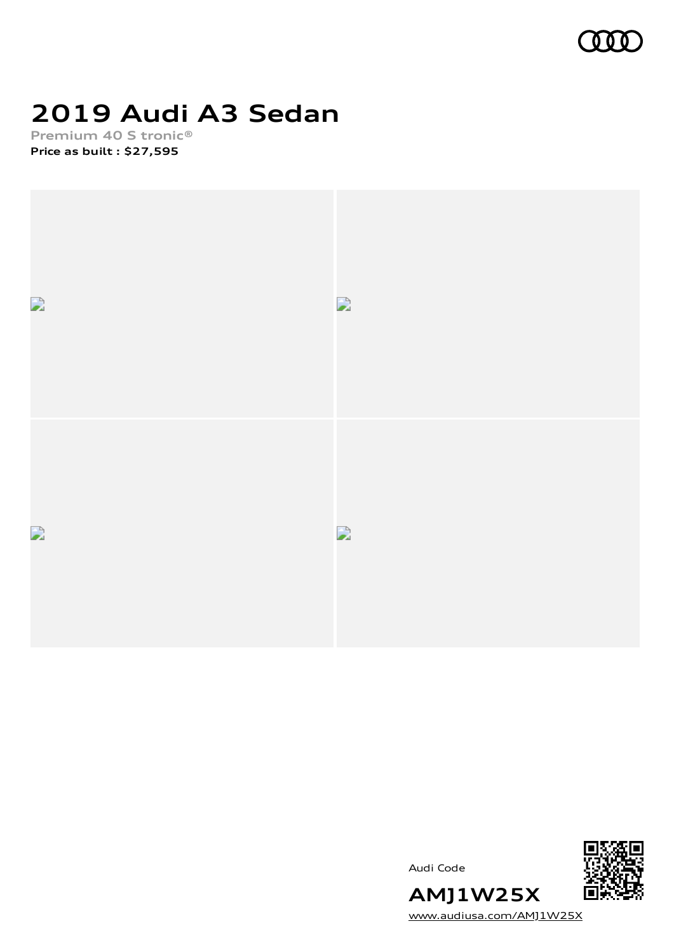

# **2019 Audi A3 Sedan**

**Premium 40 S tronic® Price as built [:](#page-10-0) \$27,595**





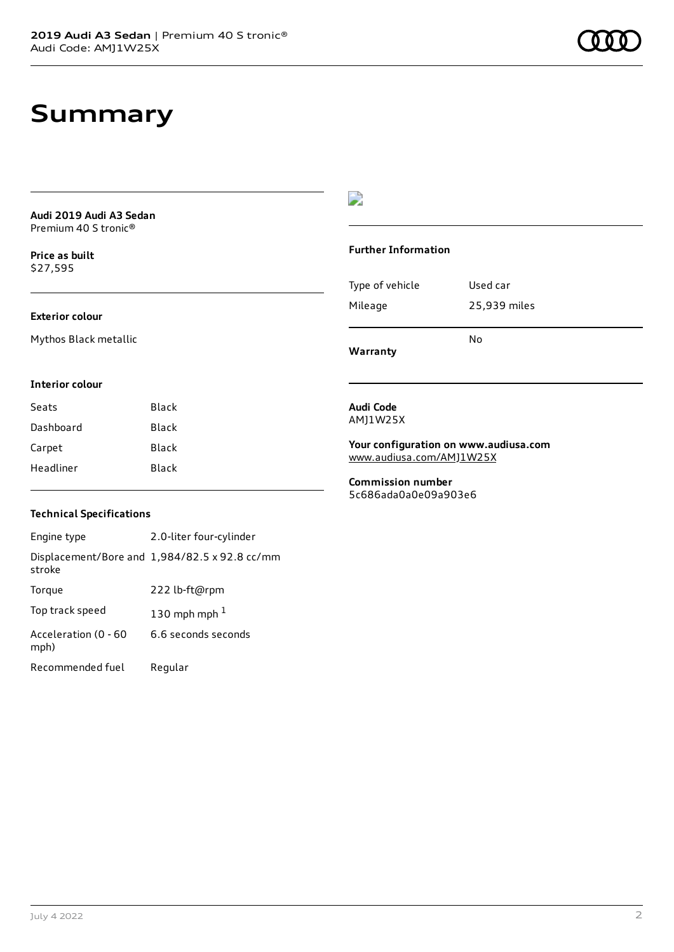# **Summary**

**Audi 2019 Audi A3 Sedan** Premium 40 S tronic®

**Price as buil[t](#page-10-0)** \$27,595

### **Exterior colour**

Mythos Black metallic

 $\overline{\phantom{a}}$ 

#### **Further Information**

|                 | N٥           |
|-----------------|--------------|
| Mileage         | 25,939 miles |
| Type of vehicle | Used car     |

**Warranty**

#### **Interior colour**

| Seats     | Black |
|-----------|-------|
| Dashboard | Black |
| Carpet    | Black |
| Headliner | Black |

#### **Audi Code** AMJ1W25X

**Your configuration on www.audiusa.com** [www.audiusa.com/AMJ1W25X](https://www.audiusa.com/AMJ1W25X)

**Commission number** 5c686ada0a0e09a903e6

### **Technical Specifications**

| Engine type                  | 2.0-liter four-cylinder                       |
|------------------------------|-----------------------------------------------|
| stroke                       | Displacement/Bore and 1,984/82.5 x 92.8 cc/mm |
| Torque                       | 222 lb-ft@rpm                                 |
| Top track speed              | 130 mph mph $1$                               |
| Acceleration (0 - 60<br>mph) | 6.6 seconds seconds                           |
| Recommended fuel             | Regular                                       |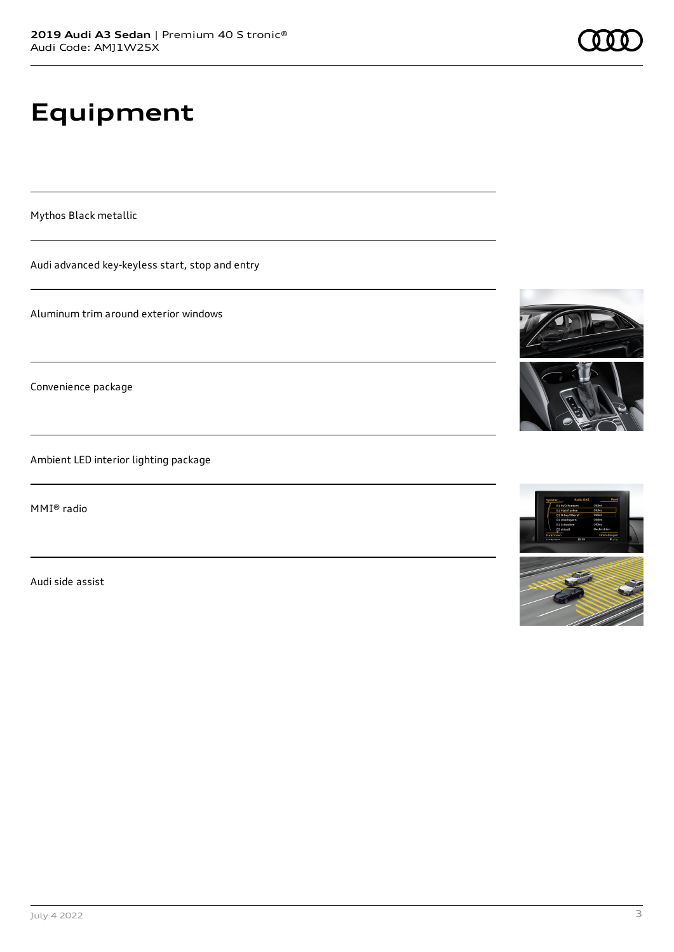# **Equipment**

Mythos Black metallic

Audi advanced key-keyless start, stop and entry

Aluminum trim around exterior windows

Convenience package

Ambient LED interior lighting package

MMI® radio

Audi side assist





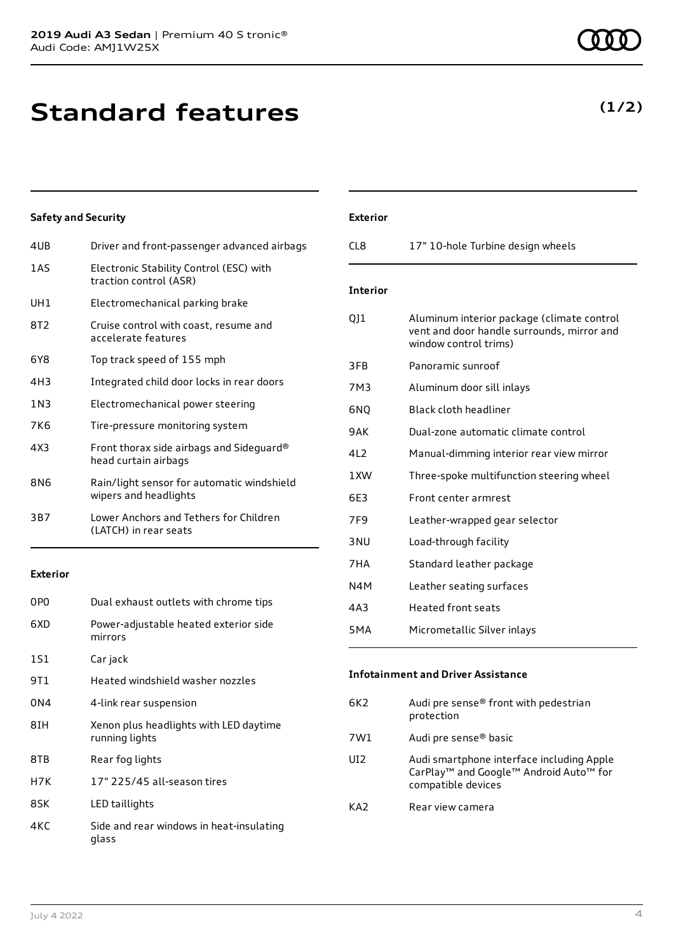**Standard features**

| 4UB             | Driver and front-passenger advanced airbags                         |
|-----------------|---------------------------------------------------------------------|
| 1AS             | Electronic Stability Control (ESC) with<br>traction control (ASR)   |
| UH1             | Electromechanical parking brake                                     |
| 8T2             | Cruise control with coast, resume and<br>accelerate features        |
| 6Y8             | Top track speed of 155 mph                                          |
| 4H <sub>3</sub> | Integrated child door locks in rear doors                           |
| 1 N 3           | Electromechanical power steering                                    |
| 7K6             | Tire-pressure monitoring system                                     |
| 4X3             | Front thorax side airbags and Sideguard®<br>head curtain airbags    |
| 8N6             | Rain/light sensor for automatic windshield<br>wipers and headlights |
| 3B7             | Lower Anchors and Tethers for Children<br>(LATCH) in rear seats     |
|                 |                                                                     |

**Exterior**

| 0PO  | Dual exhaust outlets with chrome tips                    |
|------|----------------------------------------------------------|
| 6XD  | Power-adjustable heated exterior side<br>mirrors         |
| 1S1  | Car jack                                                 |
| 9T 1 | Heated windshield washer nozzles                         |
| 0N4  | 4-link rear suspension                                   |
| 8IH  | Xenon plus headlights with LED daytime<br>running lights |
| 8TB  | Rear fog lights                                          |
| H7K  | 17" 225/45 all-season tires                              |
| 8SK  | LED taillights                                           |
| 4KC  | Side and rear windows in heat-insulating<br>glass        |

| CI 8            | 17" 10-hole Turbine design wheels  |
|-----------------|------------------------------------|
| <b>Interior</b> |                                    |
| O11             | Aluminum interior package (climate |

**Exterior**

| QJ1              | Aluminum interior package (climate control<br>vent and door handle surrounds, mirror and<br>window control trims) |
|------------------|-------------------------------------------------------------------------------------------------------------------|
| 3FB              | Panoramic sunroof                                                                                                 |
| 7M3              | Aluminum door sill inlays                                                                                         |
| 6NQ              | <b>Black cloth headliner</b>                                                                                      |
| 9AK              | Dual-zone automatic climate control                                                                               |
| 4L <sub>2</sub>  | Manual-dimming interior rear view mirror                                                                          |
| 1XW              | Three-spoke multifunction steering wheel                                                                          |
| 6E3              | Front center armrest                                                                                              |
| 7F9              | Leather-wrapped gear selector                                                                                     |
| 3 <sub>NU</sub>  | Load-through facility                                                                                             |
| 7HA              | Standard leather package                                                                                          |
| N4M              | Leather seating surfaces                                                                                          |
| 4A3              | Heated front seats                                                                                                |
| 5 <sub>M</sub> A | Micrometallic Silver inlays                                                                                       |

### **Infotainment and Driver Assistance**

| 6K2 | Audi pre sense® front with pedestrian<br>protection                                                                                           |
|-----|-----------------------------------------------------------------------------------------------------------------------------------------------|
| 7W1 | Audi pre sense® basic                                                                                                                         |
| UI2 | Audi smartphone interface including Apple<br>CarPlay <sup>™</sup> and Google <sup>™</sup> Android Auto <sup>™</sup> for<br>compatible devices |
| KA2 | Rear view camera                                                                                                                              |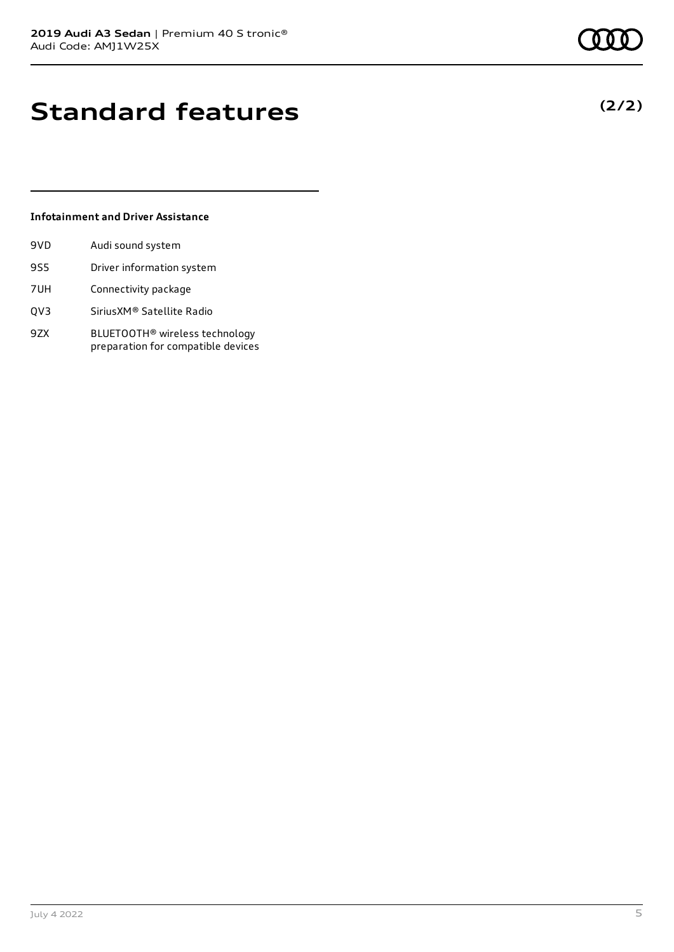# **Standard features**

### **Infotainment and Driver Assistance**

| 9VD | Audi sound system         |
|-----|---------------------------|
| 9S5 | Driver information system |
| 7UH | Connectivity package      |

- QV3 SiriusXM® Satellite Radio
- 9ZX BLUETOOTH® wireless technology preparation for compatible devices

### **(2/2)**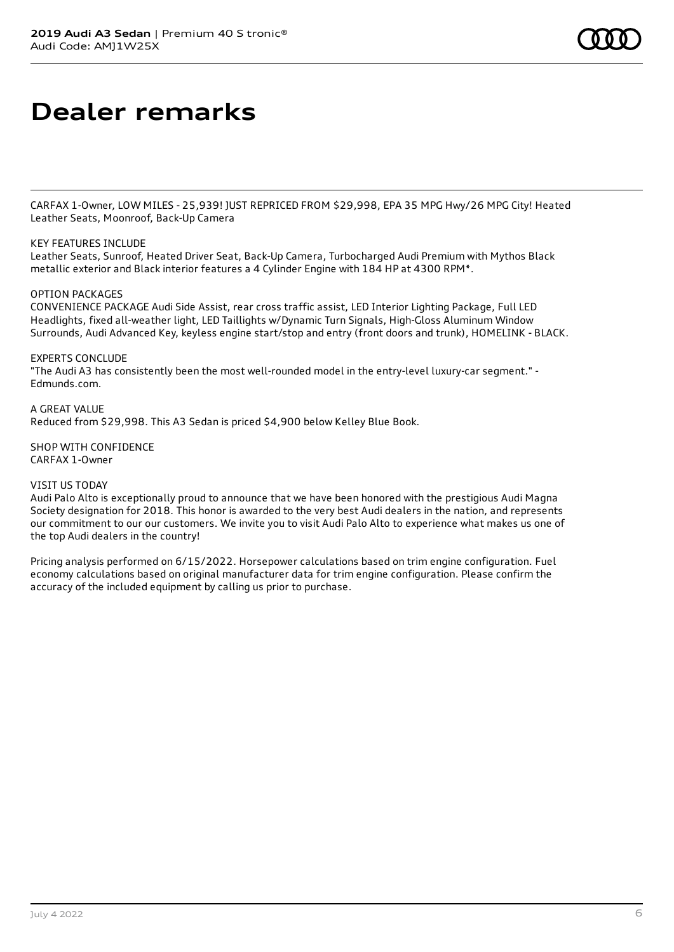# **Dealer remarks**

CARFAX 1-Owner, LOW MILES - 25,939! JUST REPRICED FROM \$29,998, EPA 35 MPG Hwy/26 MPG City! Heated Leather Seats, Moonroof, Back-Up Camera

### KEY FEATURES INCLUDE

Leather Seats, Sunroof, Heated Driver Seat, Back-Up Camera, Turbocharged Audi Premium with Mythos Black metallic exterior and Black interior features a 4 Cylinder Engine with 184 HP at 4300 RPM\*.

#### OPTION PACKAGES

CONVENIENCE PACKAGE Audi Side Assist, rear cross traffic assist, LED Interior Lighting Package, Full LED Headlights, fixed all-weather light, LED Taillights w/Dynamic Turn Signals, High-Gloss Aluminum Window Surrounds, Audi Advanced Key, keyless engine start/stop and entry (front doors and trunk), HOMELINK - BLACK.

EXPERTS CONCLUDE

"The Audi A3 has consistently been the most well-rounded model in the entry-level luxury-car segment." - Edmunds.com.

A GREAT VALUE Reduced from \$29,998. This A3 Sedan is priced \$4,900 below Kelley Blue Book.

SHOP WITH CONFIDENCE CARFAX 1-Owner

VISIT US TODAY

Audi Palo Alto is exceptionally proud to announce that we have been honored with the prestigious Audi Magna Society designation for 2018. This honor is awarded to the very best Audi dealers in the nation, and represents our commitment to our our customers. We invite you to visit Audi Palo Alto to experience what makes us one of the top Audi dealers in the country!

Pricing analysis performed on 6/15/2022. Horsepower calculations based on trim engine configuration. Fuel economy calculations based on original manufacturer data for trim engine configuration. Please confirm the accuracy of the included equipment by calling us prior to purchase.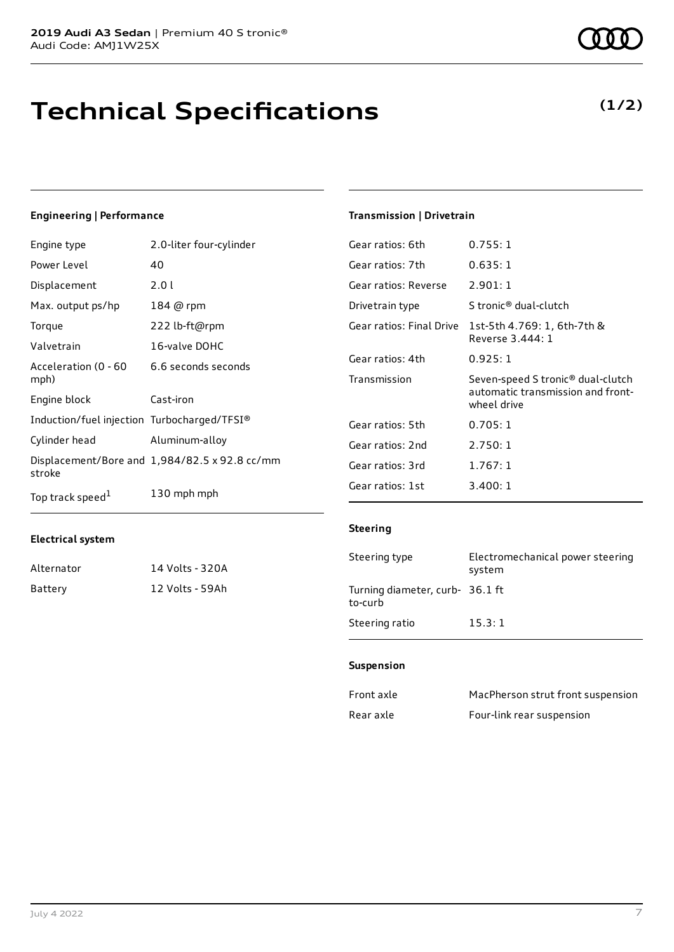# **Technical Specifications**

### **Engineering | Performance**

| Engine type                                 | 2.0-liter four-cylinder                       | Ge: |
|---------------------------------------------|-----------------------------------------------|-----|
| Power Level                                 | 40                                            | Ge: |
| Displacement                                | 2.01                                          | Ge. |
| Max. output ps/hp                           | 184 @ rpm                                     | Dri |
| Torque                                      | 222 lb-ft@rpm                                 | Ge. |
| Valvetrain                                  | 16-valve DOHC                                 |     |
| Acceleration (0 - 60                        | 6.6 seconds seconds                           | Ge: |
| mph)                                        |                                               | Tra |
| Engine block                                | Cast-iron                                     |     |
| Induction/fuel injection Turbocharged/TFSI® |                                               | Ge. |
| Cylinder head                               | Aluminum-alloy                                | Ge. |
| stroke                                      | Displacement/Bore and 1,984/82.5 x 92.8 cc/mm | Ge. |
|                                             |                                               | Ge. |
| Top track speed <sup>1</sup>                | 130 mph mph                                   |     |
|                                             |                                               |     |

### **Transmission | Drivetrain**

| Gear ratios: 6th         | 0.755:1                                                                               |
|--------------------------|---------------------------------------------------------------------------------------|
| Gear ratios: 7th         | 0.635:1                                                                               |
| Gear ratios: Reverse     | 2.901:1                                                                               |
| Drivetrain type          | S tronic® dual-clutch                                                                 |
| Gear ratios: Final Drive | 1st-5th 4.769: 1, 6th-7th &<br>Reverse 3.444: 1                                       |
| Gear ratios: 4th         | 0.925:1                                                                               |
| Transmission             | Seven-speed S tronic® dual-clutch<br>automatic transmission and front-<br>wheel drive |
| Gear ratios: 5th         | 0.705:1                                                                               |
| Gear ratios: 2nd         | 2.750:1                                                                               |
| Gear ratios: 3rd         | 1.767:1                                                                               |
| Gear ratios: 1st         | 3.400:1                                                                               |

### **Electrical system**

| Alternator | 14 Volts - 320A |
|------------|-----------------|
| Battery    | 12 Volts - 59Ah |

| Steering type                              | Electromechanical power steering<br>system |
|--------------------------------------------|--------------------------------------------|
| Turning diameter, curb- 36.1 ft<br>to-curb |                                            |
| Steering ratio                             | 15.3:1                                     |

#### **Suspension**

**Steering**

| Front axle | MacPherson strut front suspension |
|------------|-----------------------------------|
| Rear axle  | Four-link rear suspension         |

**(1/2)**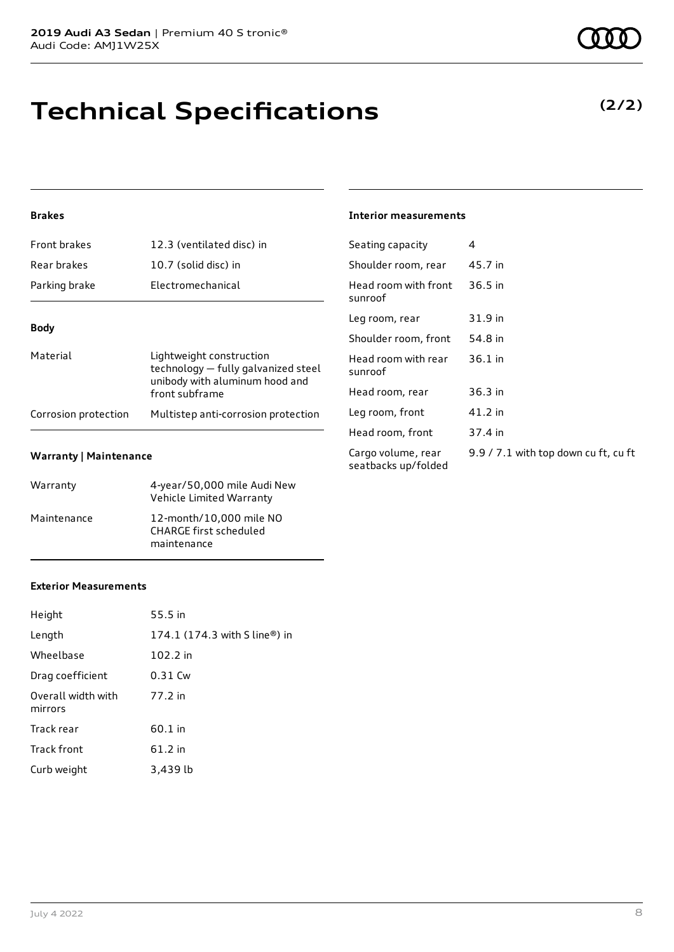# **Technical Specifications**

### **Brakes**

| <b>Front brakes</b>  | 12.3 (ventilated disc) in                                                                                           |
|----------------------|---------------------------------------------------------------------------------------------------------------------|
| Rear brakes          | 10.7 (solid disc) in                                                                                                |
| Parking brake        | <b>Electromechanical</b>                                                                                            |
| <b>Body</b>          |                                                                                                                     |
| Material             | Lightweight construction<br>technology - fully galvanized steel<br>unibody with aluminum hood and<br>front subframe |
| Corrosion protection | Multistep anti-corrosion protection                                                                                 |

#### **Warranty | Maintenance**

| Warranty    | 4-year/50,000 mile Audi New<br>Vehicle Limited Warranty                 |
|-------------|-------------------------------------------------------------------------|
| Maintenance | 12-month/10,000 mile NO<br><b>CHARGE first scheduled</b><br>maintenance |

#### **Interior measurements**

| Seating capacity                          | 4                                    |
|-------------------------------------------|--------------------------------------|
| Shoulder room, rear                       | 45.7 in                              |
| Head room with front<br>sunroof           | 36.5 in                              |
| Leg room, rear                            | 31.9 in                              |
| Shoulder room, front                      | 54.8 in                              |
| Head room with rear<br>sunroof            | $36.1$ in                            |
| Head room, rear                           | 36.3 in                              |
| Leg room, front                           | 41.2 in                              |
| Head room, front                          | 37.4 in                              |
| Cargo volume, rear<br>seatbacks up/folded | 9.9 / 7.1 with top down cu ft, cu ft |
|                                           |                                      |

### **Exterior Measurements**

| Height                        | 55.5 in                       |
|-------------------------------|-------------------------------|
| Length                        | 174.1 (174.3 with S line®) in |
| Wheelbase                     | 102.2 in                      |
| Drag coefficient              | 0.31 Cw                       |
| Overall width with<br>mirrors | 77.2 in                       |
| Track rear                    | 60.1 in                       |
| <b>Track front</b>            | 61.2 in                       |
| Curb weight                   | 3,439 lb                      |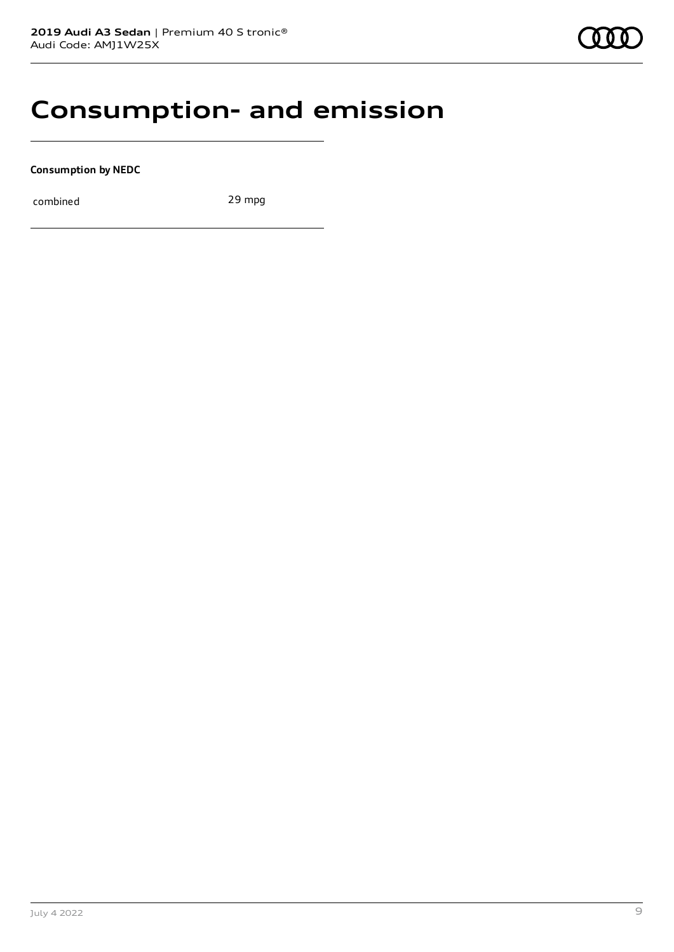## **Consumption- and emission**

**Consumption by NEDC**

combined 29 mpg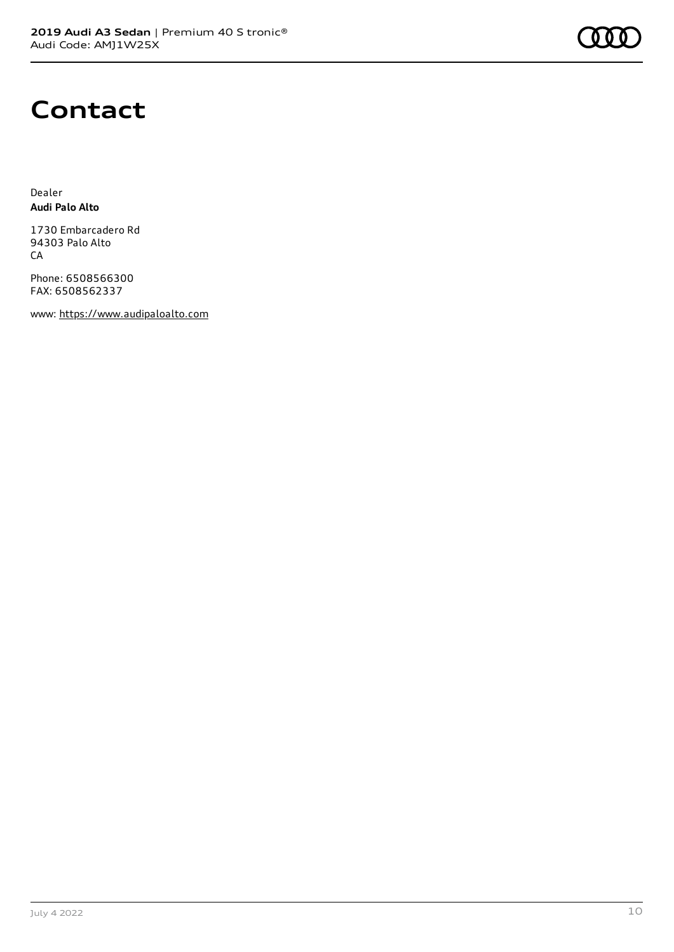

# **Contact**

Dealer **Audi Palo Alto**

1730 Embarcadero Rd 94303 Palo Alto CA

Phone: 6508566300 FAX: 6508562337

www: [https://www.audipaloalto.com](https://www.audipaloalto.com/)